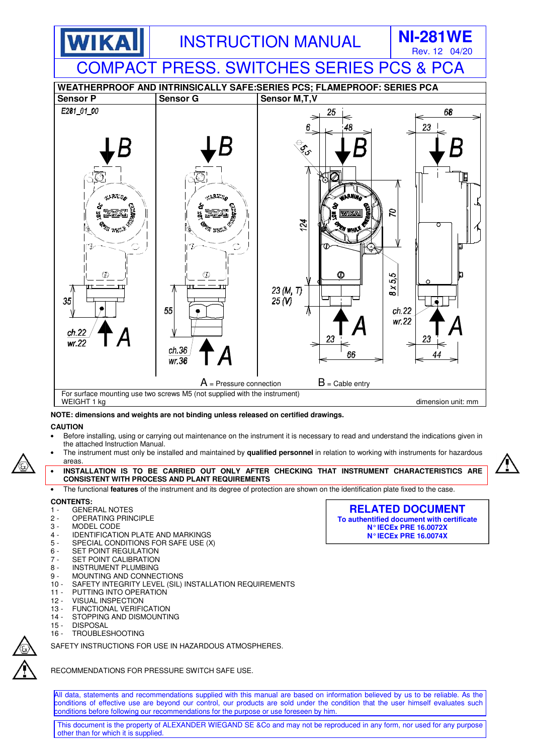

### **NOTE: dimensions and weights are not binding unless released on certified drawings.**

### **CAUTION**

- Before installing, using or carrying out maintenance on the instrument it is necessary to read and understand the indications given in the attached Instruction Manual.
- The instrument must only be installed and maintained by **qualified personnel** in relation to working with instruments for hazardous areas.
- **INSTALLATION IS TO BE CARRIED OUT ONLY AFTER CHECKING THAT INSTRUMENT CHARACTERISTICS ARE CONSISTENT WITH PROCESS AND PLANT REQUIREMENTS**
- The functional **features** of the instrument and its degree of protection are shown on the identification plate fixed to the case.

### **CONTENTS:**

- 1 GENERAL NOTES
- 2 OPERATING PRINCIPLE
- 3 MODEL CODE<br>4 IDENTIFICATIO
- 4 IDENTIFICATION PLATE AND MARKINGS<br>5 SPECIAL CONDITIONS FOR SAFE USE (X
- SPECIAL CONDITIONS FOR SAFE USE (X)
- 6 SET POINT REGULATION
- 7 SET POINT CALIBRATION<br>8 INSTRUMENT PLUMBING
- **INSTRUMENT PLUMBING**
- 9 MOUNTING AND CONNECTIONS<br>10 SAFETY INTEGRITY I FVEL (SIL)
- SAFETY INTEGRITY LEVEL (SIL) INSTALLATION REQUIREMENTS
- 11 PUTTING INTO OPERATION<br>12 VISUAL INSPECTION
- **VISUAL INSPECTION**
- 13 FUNCTIONAL VERIFICATION
- 14 STOPPING AND DISMOUNTING<br>15 DISPOSAL
- **DISPOSAL**
- 16 TROUBLESHOOTING

SAFETY INSTRUCTIONS FOR USE IN HAZARDOUS ATMOSPHERES.

RECOMMENDATIONS FOR PRESSURE SWITCH SAFE USE.

All data, statements and recommendations supplied with this manual are based on information believed by us to be reliable. As the conditions of effective use are beyond our control, our products are sold under the condition that the user himself evaluates such conditions before following our recommendations for the purpose or use foreseen by him.

This document is the property of ALEXANDER WIEGAND SE &Co and may not be reproduced in any form, nor used for any purpose other than for which it is supplied.

**RELATED DOCUMENT To authentified document with certificate N° IECEx PRE 16.0072X N° IECEx PRE 16.0074X** 

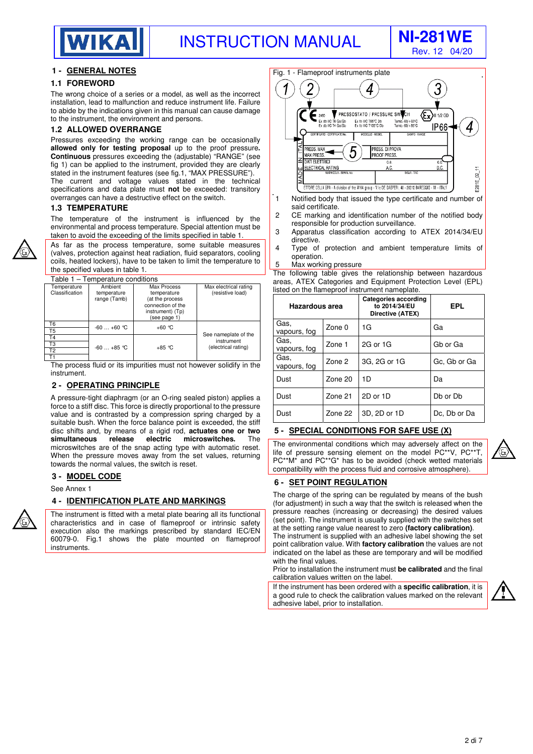

Rev. 12 04/20

#### **1 - GENERAL NOTES**

#### **1.1 FOREWORD**

The wrong choice of a series or a model, as well as the incorrect installation, lead to malfunction and reduce instrument life. Failure to abide by the indications given in this manual can cause damage to the instrument, the environment and persons.

#### **1.2 ALLOWED OVERRANGE**

Pressures exceeding the working range can be occasionally **allowed only for testing proposal** up to the proof pressure**. Continuous** pressures exceeding the (adjustable) "RANGE" (see fig 1) can be applied to the instrument, provided they are clearly stated in the instrument features (see fig.1, "MAX PRESSURE"). The current and voltage values stated in the technical specifications and data plate must **not** be exceeded: transitory overranges can have a destructive effect on the switch.

#### **1.3 TEMPERATURE**

The temperature of the instrument is influenced by the environmental and process temperature. Special attention must be taken to avoid the exceeding of the limits specified in table 1.

As far as the process temperature, some suitable measures (valves, protection against heat radiation, fluid separators, cooling coils, heated lockers), have to be taken to limit the temperature to the specified values in table 1.

Table 1 – Temperature conditions

| י שגטוי<br>ייטווטאס טאונט פון דער |                                        |                                                                                                        |                                           |  |  |
|-----------------------------------|----------------------------------------|--------------------------------------------------------------------------------------------------------|-------------------------------------------|--|--|
| Temperature<br>Classification     | Ambient<br>temperature<br>range (Tamb) | Max Process<br>temperature<br>(at the process<br>connection of the<br>instrument) (Tp)<br>(see page 1) | Max electrical rating<br>(resistive load) |  |  |
| T6<br>T <sub>5</sub>              | $-60+60$ °C                            | $+60 °C$                                                                                               |                                           |  |  |
| T <sub>4</sub>                    |                                        |                                                                                                        | See nameplate of the<br>instrument        |  |  |
| T3                                | $-60+85$ °C                            | $+85$ °C                                                                                               | (electrical rating)                       |  |  |
| T <sub>2</sub>                    |                                        |                                                                                                        |                                           |  |  |
| Τ1                                |                                        |                                                                                                        |                                           |  |  |
|                                   |                                        |                                                                                                        |                                           |  |  |

The process fluid or its impurities must not however solidify in the instrument.

#### **2 - OPERATING PRINCIPLE**

A pressure-tight diaphragm (or an O-ring sealed piston) applies a force to a stiff disc. This force is directly proportional to the pressure value and is contrasted by a compression spring charged by a suitable bush. When the force balance point is exceeded, the stiff disc shifts and, by means of a rigid rod, **actuates one or two simultaneous release electric microswitches.** The microswitches are of the snap acting type with automatic reset. When the pressure moves away from the set values, returning towards the normal values, the switch is reset.

#### **3 - MODEL CODE**

See Annex 1

#### **4 - IDENTIFICATION PLATE AND MARKINGS**

The instrument is fitted with a metal plate bearing all its functional characteristics and in case of flameproof or intrinsic safety execution also the markings prescribed by standard IEC/EN 60079-0. Fig.1 shows the plate mounted on flameproof **instruments** 

#### Fig. 1 - Flameproof instruments plate  $\overline{3}$ 1 4 PRESSOSTATO / PRESSURE SWITCH Ex) 2460 II 1/2 GD Ex db IIC T6 Ga/Gb<br>Ex db IIC T4 Ga/Gb Ex th IIIC T85°C Db<br>Ex th IIIC T135°C Db Tamb.-60/+60°C<br>Tamb.-60/+85°C IP66 4 PRESS, MAX PRESS. DI PROVA b **MAX PRESS PROOF PRESS** z DATI ELETTRIC  $ca$  $\overline{c}$ ELECTRICAL RATING  $\mathbf{S}$ E281E ETTORE CELLA SPA - A division of the WIKA group - V.Ie DE GASPERI, 48 - 20010 BAREGGIO - MI - ITALY

- 1 Notified body that issued the type certificate and number of said certificate.
- 2 CE marking and identification number of the notified body responsible for production surveillance.
- 3 Apparatus classification according to ATEX 2014/34/EU directive.
- 4 Type of protection and ambient temperature limits of operation.
- 5 Max working pressure

The following table gives the relationship between hazardous areas, ATEX Categories and Equipment Protection Level (EPL) listed on the flameproof instrument nameplate.

| Hazardous area       |         | Categories according<br>to 2014/34/EU<br>Directive (ATEX) | EPL          |
|----------------------|---------|-----------------------------------------------------------|--------------|
| Gas.<br>vapours, fog | Zone 0  | 1G                                                        | Ga           |
| Gas,<br>vapours, fog | Zone 1  | 2G or 1G                                                  | Gb or Ga     |
| Gas,<br>vapours, fog | Zone 2  | 3G, 2G or 1G                                              | Gc, Gb or Ga |
| Dust                 | Zone 20 | 1D                                                        | Da           |
| Dust                 | Zone 21 | 2D or 1D                                                  | Db or Db     |
| Dust                 | Zone 22 | 3D, 2D or 1D                                              | Dc, Db or Da |

#### **5 - SPECIAL CONDITIONS FOR SAFE USE (X)**

The environmental conditions which may adversely affect on the life of pressure sensing element on the model  $PC^{**}V$ ,  $PC^{*}$ PC\*\*M\* and PC\*\*G\* has to be avoided (check wetted materials compatibility with the process fluid and corrosive atmosphere).

#### **6 - SET POINT REGULATION**

The charge of the spring can be regulated by means of the bush (for adjustment) in such a way that the switch is released when the pressure reaches (increasing or decreasing) the desired values (set point). The instrument is usually supplied with the switches set at the setting range value nearest to zero **(factory calibration)**.

The instrument is supplied with an adhesive label showing the set point calibration value. With **factory calibration** the values are not indicated on the label as these are temporary and will be modified with the final values.

Prior to installation the instrument must **be calibrated** and the final calibration values written on the label.

If the instrument has been ordered with a **specific calibration**, it is a good rule to check the calibration values marked on the relevant adhesive label, prior to installation.

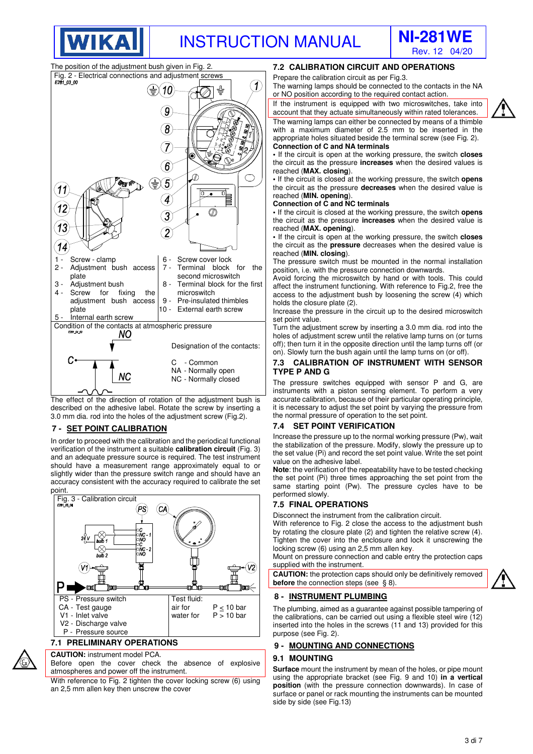



The position of the adjustment bush given in Fig. 2.

**WIKA** 



described on the adhesive label. Rotate the screw by inserting a 3.0 mm dia. rod into the holes of the adjustment screw (Fig.2).

#### **7 - SET POINT CALIBRATION**

In order to proceed with the calibration and the periodical functional verification of the instrument a suitable **calibration circuit** (Fig. 3) and an adequate pressure source is required. The test instrument should have a measurement range approximately equal to or slightly wider than the pressure switch range and should have an accuracy consistent with the accuracy required to calibrate the set point.



**CAUTION:** instrument model PCA.

Before open the cover check the absence of explosive atmospheres and power off the instrument.

With reference to Fig. 2 tighten the cover locking screw (6) using an 2,5 mm allen key then unscrew the cover

#### **7.2 CALIBRATION CIRCUIT AND OPERATIONS**

Prepare the calibration circuit as per Fig.3.

The warning lamps should be connected to the contacts in the NA or NO position according to the required contact action.

If the instrument is equipped with two microswitches, take into account that they actuate simultaneously within rated tolerances. The warning lamps can either be connected by means of a thimble with a maximum diameter of 2.5 mm to be inserted in the appropriate holes situated beside the terminal screw (see Fig. 2).

#### **Connection of C and NA terminals**

**•** If the circuit is open at the working pressure, the switch **closes** the circuit as the pressure **increases** when the desired values is reached (**MAX. closing**).

**•** If the circuit is closed at the working pressure, the switch **opens** the circuit as the pressure **decreases** when the desired value is reached (**MIN. opening**).

#### **Connection of C and NC terminals**

**•** If the circuit is closed at the working pressure, the switch **opens** the circuit as the pressure **increases** when the desired value is reached (**MAX. opening**).

**•** If the circuit is open at the working pressure, the switch **closes** the circuit as the **pressure** decreases when the desired value is reached (**MIN. closing**).

The pressure switch must be mounted in the normal installation position, i.e. with the pressure connection downwards.

Avoid forcing the microswitch by hand or with tools. This could affect the instrument functioning. With reference to Fig.2, free the access to the adjustment bush by loosening the screw (4) which holds the closure plate (2).

Increase the pressure in the circuit up to the desired microswitch set point value.

Turn the adjustment screw by inserting a 3.0 mm dia. rod into the holes of adjustment screw until the relative lamp turns on (or turns off); then turn it in the opposite direction until the lamp turns off (or on). Slowly turn the bush again until the lamp turns on (or off).

#### **7.3 CALIBRATION OF INSTRUMENT WITH SENSOR TYPE P AND G**

The pressure switches equipped with sensor P and G, are instruments with a piston sensing element. To perform a very accurate calibration, because of their particular operating principle, it is necessary to adjust the set point by varying the pressure from the normal pressure of operation to the set point.

#### **7.4 SET POINT VERIFICATION**

Increase the pressure up to the normal working pressure (Pw), wait the stabilization of the pressure. Modify, slowly the pressure up to the set value (Pi) and record the set point value. Write the set point value on the adhesive label.

**Note**: the verification of the repeatability have to be tested checking the set point (Pi) three times approaching the set point from the same starting point (Pw). The pressure cycles have to be performed slowly.

#### **7.5 FINAL OPERATIONS**

Disconnect the instrument from the calibration circuit.

With reference to Fig. 2 close the access to the adjustment bush by rotating the closure plate (2) and tighten the relative screw (4). Tighten the cover into the enclosure and lock it unscrewing the locking screw (6) using an 2,5 mm allen key.

Mount on pressure connection and cable entry the protection caps supplied with the instrument.

**CAUTION:** the protection caps should only be definitively removed **before** the connection steps (see § 8).

#### **8 - INSTRUMENT PLUMBING**

The plumbing, aimed as a guarantee against possible tampering of the calibrations, can be carried out using a flexible steel wire (12) inserted into the holes in the screws (11 and 13) provided for this purpose (see Fig. 2).

#### **9 - MOUNTING AND CONNECTIONS**

#### **9.1 MOUNTING**

**Surface** mount the instrument by mean of the holes, or pipe mount using the appropriate bracket (see Fig. 9 and 10) **in a vertical position** (with the pressure connection downwards). In case of surface or panel or rack mounting the instruments can be mounted side by side (see Fig.13)

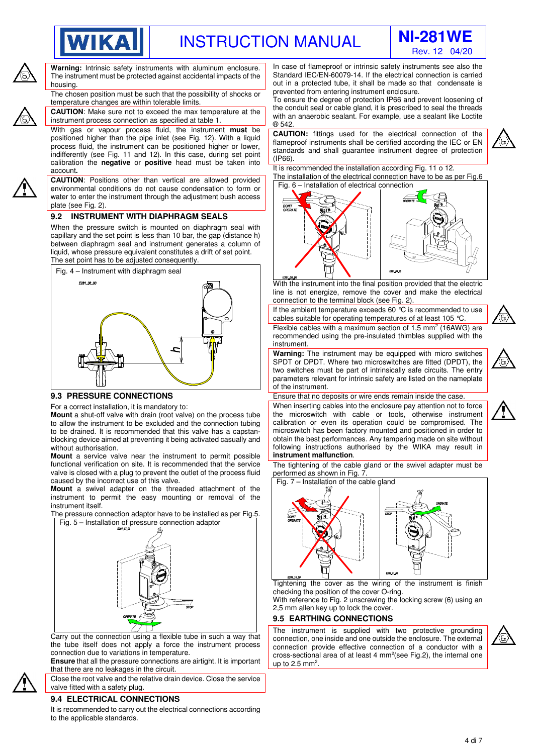



**Warning:** Intrinsic safety instruments with aluminum enclosure. The instrument must be protected against accidental impacts of the housing.

**WIKA** 

The chosen position must be such that the possibility of shocks or temperature changes are within tolerable limits.

**CAUTION**: Make sure not to exceed the max temperature at the instrument process connection as specified at table 1.

With gas or vapour process fluid, the instrument **must** be positioned higher than the pipe inlet (see Fig. 12). With a liquid process fluid, the instrument can be positioned higher or lower, indifferently (see Fig. 11 and 12). In this case, during set point calibration the **negative** or **positive** head must be taken into account**.** 

**CAUTION**: Positions other than vertical are allowed provided environmental conditions do not cause condensation to form or water to enter the instrument through the adjustment bush access plate (see Fig. 2).

#### **9.2 INSTRUMENT WITH DIAPHRAGM SEALS**

When the pressure switch is mounted on diaphragm seal with capillary and the set point is less than 10 bar, the gap (distance h) between diaphragm seal and instrument generates a column of liquid, whose pressure equivalent constitutes a drift of set point. The set point has to be adjusted consequently.



#### **9.3 PRESSURE CONNECTIONS**

For a correct installation, it is mandatory to:

**Mount** a shut-off valve with drain (root valve) on the process tube to allow the instrument to be excluded and the connection tubing to be drained. It is recommended that this valve has a capstanblocking device aimed at preventing it being activated casually and without authorisation.

**Mount** a service valve near the instrument to permit possible functional verification on site. It is recommended that the service valve is closed with a plug to prevent the outlet of the process fluid caused by the incorrect use of this valve.

**Mount** a swivel adapter on the threaded attachment of the instrument to permit the easy mounting or removal of the instrument itself.

The pressure connection adaptor have to be installed as per Fig.5. Fig. 5 – Installation of pressure connection adaptor



Carry out the connection using a flexible tube in such a way that the tube itself does not apply a force the instrument process connection due to variations in temperature.

**Ensure** that all the pressure connections are airtight. It is important that there are no leakages in the circuit.

Close the root valve and the relative drain device. Close the service valve fitted with a safety plug.

#### **9.4 ELECTRICAL CONNECTIONS**

It is recommended to carry out the electrical connections according to the applicable standards.

In case of flameproof or intrinsic safety instruments see also the Standard IEC/EN-60079-14. If the electrical connection is carried out in a protected tube, it shall be made so that condensate is prevented from entering instrument enclosure.

To ensure the degree of protection IP66 and prevent loosening of the conduit seal or cable gland, it is prescribed to seal the threads with an anaerobic sealant. For example, use a sealant like Loctite ® 542.

**CAUTION:** fittings used for the electrical connection of the flameproof instruments shall be certified according the IEC or EN standards and shall guarantee instrument degree of protection (IP66).

It is recommended the installation according Fig. 11 o 12. The installation of the electrical connection have to be as per Fig.6



With the instrument into the final position provided that the electric line is not energize, remove the cover and make the electrical connection to the terminal block (see Fig. 2).

If the ambient temperature exceeds 60 °C is recommended to use cables suitable for operating temperatures of at least 105 °C.

Flexible cables with a maximum section of  $1,5$  mm<sup>2</sup> (16AWG) are recommended using the pre-insulated thimbles supplied with the instrument.

**Warning:** The instrument may be equipped with micro switches SPDT or DPDT. Where two microswitches are fitted (DPDT), the two switches must be part of intrinsically safe circuits. The entry parameters relevant for intrinsic safety are listed on the nameplate of the instrument.



Ensure that no deposits or wire ends remain inside the case.

When inserting cables into the enclosure pay attention not to force the microswitch with cable or tools, otherwise instrument calibration or even its operation could be compromised. The microswitch has been factory mounted and positioned in order to obtain the best performances. Any tampering made on site without following instructions authorised by the WIKA may result in **instrument malfunction**.

The tightening of the cable gland or the swivel adapter must be performed as shown in Fig. 7.



Tightening the cover as the wiring of the instrument is finish checking the position of the cover O-ring.

With reference to Fig. 2 unscrewing the locking screw (6) using an 2,5 mm allen key up to lock the cover.

#### **9.5 EARTHING CONNECTIONS**

The instrument is supplied with two protective grounding connection, one inside and one outside the enclosure. The external connection provide effective connection of a conductor with a cross-sectional area of at least 4 mm<sup>2</sup>(see Fig.2), the internal one up to 2.5 mm<sup>2</sup>.



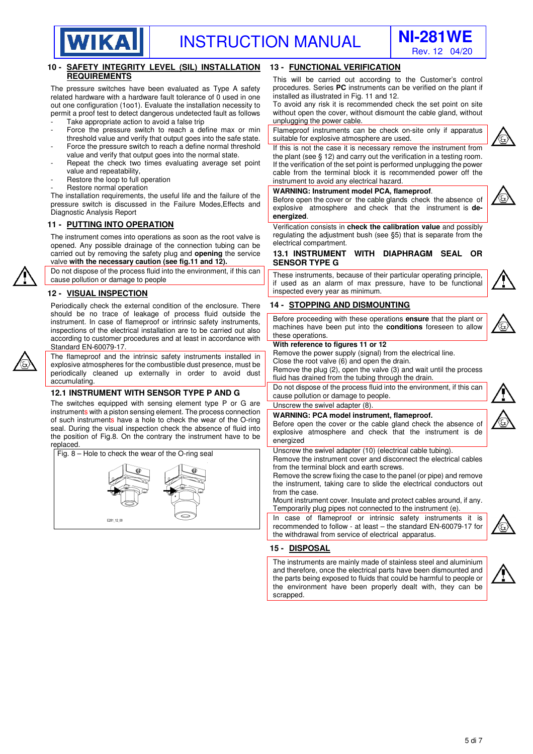



|                                                                                                                                                                                                                                                                                                                                                                                                                  | Hev. 12 04/20                                                                                                                                                                                                                                                                                                                                                                                                                                                                                                                                                                                                                                                                                                                                           |  |  |
|------------------------------------------------------------------------------------------------------------------------------------------------------------------------------------------------------------------------------------------------------------------------------------------------------------------------------------------------------------------------------------------------------------------|---------------------------------------------------------------------------------------------------------------------------------------------------------------------------------------------------------------------------------------------------------------------------------------------------------------------------------------------------------------------------------------------------------------------------------------------------------------------------------------------------------------------------------------------------------------------------------------------------------------------------------------------------------------------------------------------------------------------------------------------------------|--|--|
| 10 - SAFETY INTEGRITY LEVEL (SIL) INSTALLATION                                                                                                                                                                                                                                                                                                                                                                   | <b>13 - FUNCTIONAL VERIFICATION</b>                                                                                                                                                                                                                                                                                                                                                                                                                                                                                                                                                                                                                                                                                                                     |  |  |
| <b>REQUIREMENTS</b><br>The pressure switches have been evaluated as Type A safety<br>related hardware with a hardware fault tolerance of 0 used in one<br>out one configuration (1001). Evaluate the installation necessity to<br>permit a proof test to detect dangerous undetected fault as follows<br>Take appropriate action to avoid a false trip<br>Force the pressure switch to reach a define max or min | This will be carried out according to the Customer's control<br>procedures. Series PC instruments can be verified on the plant if<br>installed as illustrated in Fig. 11 and 12.<br>To avoid any risk it is recommended check the set point on site<br>without open the cover, without dismount the cable gland, without<br>unplugging the power cable.<br>Flameproof instruments can be check on-site only if apparatus                                                                                                                                                                                                                                                                                                                                |  |  |
| threshold value and verify that output goes into the safe state.                                                                                                                                                                                                                                                                                                                                                 | suitable for explosive atmosphere are used.<br>If this is not the case it is necessary remove the instrument from<br>the plant (see $\S$ 12) and carry out the verification in a testing room.<br>If the verification of the set point is performed unplugging the power<br>cable from the terminal block it is recommended power off the<br>instrument to avoid any electrical hazard.<br>WARNING: Instrument model PCA, flameproof.<br>Before open the cover or the cable glands check the absence of<br>explosive atmosphere and check that the instrument is de-<br>energized.<br>Verification consists in check the calibration value and possibly<br>regulating the adjustment bush (see §5) that is separate from the<br>electrical compartment. |  |  |
| Force the pressure switch to reach a define normal threshold<br>value and verify that output goes into the normal state.<br>Repeat the check two times evaluating average set point<br>value and repeatability,<br>Restore the loop to full operation                                                                                                                                                            |                                                                                                                                                                                                                                                                                                                                                                                                                                                                                                                                                                                                                                                                                                                                                         |  |  |
| Restore normal operation<br>The installation requirements, the useful life and the failure of the<br>pressure switch is discussed in the Failure Modes, Effects and<br>Diagnostic Analysis Report                                                                                                                                                                                                                |                                                                                                                                                                                                                                                                                                                                                                                                                                                                                                                                                                                                                                                                                                                                                         |  |  |
| <b>11 - PUTTING INTO OPERATION</b><br>The instrument comes into operations as soon as the root valve is<br>opened. Any possible drainage of the connection tubing can be                                                                                                                                                                                                                                         |                                                                                                                                                                                                                                                                                                                                                                                                                                                                                                                                                                                                                                                                                                                                                         |  |  |
| carried out by removing the safety plug and opening the service<br>valve with the necessary caution (see fig.11 and 12).                                                                                                                                                                                                                                                                                         | <b>13.1 INSTRUMENT</b><br>WITH DIAPHRAGM SEAL OR<br><b>SENSOR TYPE G</b>                                                                                                                                                                                                                                                                                                                                                                                                                                                                                                                                                                                                                                                                                |  |  |
| Do not dispose of the process fluid into the environment, if this can<br>cause pollution or damage to people                                                                                                                                                                                                                                                                                                     | These instruments, because of their particular operating principle,<br>if used as an alarm of max pressure, have to be functional<br>inspected every year as minimum.                                                                                                                                                                                                                                                                                                                                                                                                                                                                                                                                                                                   |  |  |
| <b>12 - VISUAL INSPECTION</b><br>Periodically check the external condition of the enclosure. There                                                                                                                                                                                                                                                                                                               | <b>14 - STOPPING AND DISMOUNTING</b>                                                                                                                                                                                                                                                                                                                                                                                                                                                                                                                                                                                                                                                                                                                    |  |  |
| should be no trace of leakage of process fluid outside the<br>instrument. In case of flameproof or intrinsic safety instruments,<br>inspections of the electrical installation are to be carried out also<br>according to customer procedures and at least in accordance with<br>Standard EN-60079-17.                                                                                                           | Before proceeding with these operations ensure that the plant or<br>machines have been put into the conditions foreseen to allow<br>these operations.<br>With reference to figures 11 or 12                                                                                                                                                                                                                                                                                                                                                                                                                                                                                                                                                             |  |  |
| The flameproof and the intrinsic safety instruments installed in<br>explosive atmospheres for the combustible dust presence, must be<br>periodically cleaned up externally in order to avoid dust<br>accumulating.                                                                                                                                                                                               | Remove the power supply (signal) from the electrical line.<br>Close the root valve (6) and open the drain.<br>Remove the plug (2), open the valve (3) and wait until the process<br>fluid has drained from the tubing through the drain.                                                                                                                                                                                                                                                                                                                                                                                                                                                                                                                |  |  |
| <b>12.1 INSTRUMENT WITH SENSOR TYPE P AND G</b>                                                                                                                                                                                                                                                                                                                                                                  | Do not dispose of the process fluid into the environment, if this can<br>cause pollution or damage to people.                                                                                                                                                                                                                                                                                                                                                                                                                                                                                                                                                                                                                                           |  |  |
| The switches equipped with sensing element type P or G are<br>instruments with a piston sensing element. The process connection                                                                                                                                                                                                                                                                                  | Unscrew the swivel adapter (8).                                                                                                                                                                                                                                                                                                                                                                                                                                                                                                                                                                                                                                                                                                                         |  |  |
| of such instruments have a hole to check the wear of the O-ring<br>seal. During the visual inspection check the absence of fluid into<br>the position of Fig.8. On the contrary the instrument have to be<br>replaced.                                                                                                                                                                                           | WARNING: PCA model instrument, flameproof.<br>Before open the cover or the cable gland check the absence of<br>explosive atmosphere and check that the instrument is de<br>energized                                                                                                                                                                                                                                                                                                                                                                                                                                                                                                                                                                    |  |  |
| Fig. 8 – Hole to check the wear of the O-ring seal                                                                                                                                                                                                                                                                                                                                                               | Unscrew the swivel adapter (10) (electrical cable tubing).<br>Remove the instrument cover and disconnect the electrical cables<br>from the terminal block and earth screws.<br>Remove the screw fixing the case to the panel (or pipe) and remove<br>the instrument, taking care to slide the electrical conductors out<br>from the case.<br>Mount instrument cover. Insulate and protect cables around, if any.<br>Temporarily plug pipes not connected to the instrument (e).                                                                                                                                                                                                                                                                         |  |  |
| E281_12_00                                                                                                                                                                                                                                                                                                                                                                                                       | In case of flameproof or intrinsic safety instruments it is<br>recommended to follow - at least - the standard EN-60079-17 for<br>the withdrawal from service of electrical apparatus.                                                                                                                                                                                                                                                                                                                                                                                                                                                                                                                                                                  |  |  |
|                                                                                                                                                                                                                                                                                                                                                                                                                  | 15 - DISPOSAL                                                                                                                                                                                                                                                                                                                                                                                                                                                                                                                                                                                                                                                                                                                                           |  |  |
|                                                                                                                                                                                                                                                                                                                                                                                                                  | The instruments are mainly made of stainless steel and aluminium<br>and therefore, once the electrical parts have been dismounted and                                                                                                                                                                                                                                                                                                                                                                                                                                                                                                                                                                                                                   |  |  |

scrapped.



the parts being exposed to fluids that could be harmful to people or the environment have been properly dealt with, they can be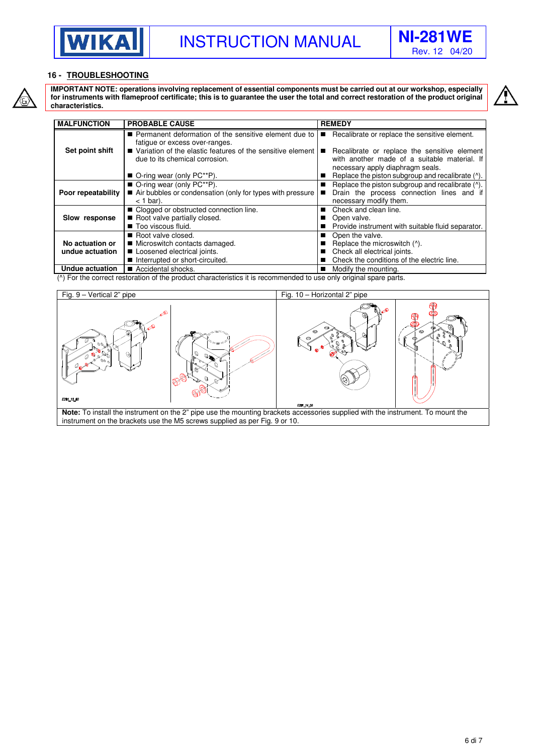



#### **16 - TROUBLESHOOTING**



**IMPORTANT NOTE: operations involving replacement of essential components must be carried out at our workshop, especially for instruments with flameproof certificate; this is to guarantee the user the total and correct restoration of the product original characteristics.** 

| <b>MALFUNCTION</b> | <b>PROBABLE CAUSE</b>                                                                          |    | <b>REMEDY</b>                                            |
|--------------------|------------------------------------------------------------------------------------------------|----|----------------------------------------------------------|
|                    | Permanent deformation of the sensitive element due to                                          | П  | Recalibrate or replace the sensitive element.            |
| Set point shift    | fatigue or excess over-ranges.<br>■ Variation of the elastic features of the sensitive element | П  | Recalibrate or replace the sensitive element             |
|                    | due to its chemical corrosion.                                                                 |    | with another made of a suitable material. If             |
|                    |                                                                                                |    | necessary apply diaphragm seals.                         |
|                    | $\blacksquare$ O-ring wear (only PC**P).                                                       |    | Replace the piston subgroup and recalibrate (^).         |
|                    | ■ O-ring wear (only PC**P).                                                                    | ш  | Replace the piston subgroup and recalibrate ( $\land$ ). |
| Poor repeatability | Air bubbles or condensation (only for types with pressure                                      | П  | Drain the process connection lines and if                |
|                    | $<$ 1 bar).                                                                                    |    | necessary modify them.                                   |
|                    | ■ Clogged or obstructed connection line.                                                       | ш  | Check and clean line.                                    |
| Slow response      | Root valve partially closed.                                                                   | П  | Open valve.                                              |
|                    | Too viscous fluid.                                                                             |    | Provide instrument with suitable fluid separator.        |
|                    | Root valve closed.                                                                             | ш  | Open the valve.                                          |
| No actuation or    | ■ Microswitch contacts damaged.                                                                |    | Replace the microswitch (^).                             |
| undue actuation    | Loosened electrical joints.                                                                    |    | Check all electrical joints.                             |
|                    | Interrupted or short-circuited.                                                                |    | Check the conditions of the electric line.               |
| Undue actuation    | ■ Accidental shocks.                                                                           | H. | Modify the mounting.                                     |

**Undue actuation** | ■ Accidental shocks.<br>(^) For the correct restoration of the product characteristics it is recommended to use only original spare parts.



instrument on the brackets use the M5 screws supplied as per Fig. 9 or 10.